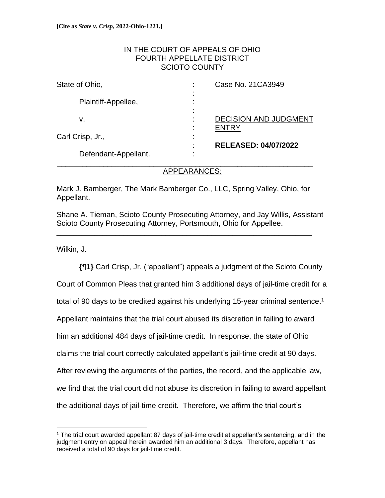### IN THE COURT OF APPEALS OF OHIO FOURTH APPELLATE DISTRICT SCIOTO COUNTY

| State of Ohio,       | Case No. 21 CA3949<br>٠                                                   |
|----------------------|---------------------------------------------------------------------------|
| Plaintiff-Appellee,  | $\blacksquare$<br>٠<br>$\blacksquare$<br>٠<br>$\blacksquare$              |
| ν.                   | <b>DECISION AND JUDGMENT</b><br>٠.                                        |
| Carl Crisp, Jr.,     | $\blacksquare$<br>٠<br>$\blacksquare$<br><b>RELEASED: 04/07/2022</b><br>٠ |
| Defendant-Appellant. | $\blacksquare$                                                            |

### APPEARANCES:

Mark J. Bamberger, The Mark Bamberger Co., LLC, Spring Valley, Ohio, for Appellant.

\_\_\_\_\_\_\_\_\_\_\_\_\_\_\_\_\_\_\_\_\_\_\_\_\_\_\_\_\_\_\_\_\_\_\_\_\_\_\_\_\_\_\_\_\_\_\_\_\_\_\_\_\_\_\_\_\_\_\_\_\_

Shane A. Tieman, Scioto County Prosecuting Attorney, and Jay Willis, Assistant Scioto County Prosecuting Attorney, Portsmouth, Ohio for Appellee.

Wilkin, J.

**{¶1}** Carl Crisp, Jr. ("appellant") appeals a judgment of the Scioto County Court of Common Pleas that granted him 3 additional days of jail-time credit for a total of 90 days to be credited against his underlying 15-year criminal sentence.<sup>1</sup> Appellant maintains that the trial court abused its discretion in failing to award him an additional 484 days of jail-time credit. In response, the state of Ohio claims the trial court correctly calculated appellant's jail-time credit at 90 days. After reviewing the arguments of the parties, the record, and the applicable law, we find that the trial court did not abuse its discretion in failing to award appellant the additional days of jail-time credit. Therefore, we affirm the trial court's

<sup>1</sup> The trial court awarded appellant 87 days of jail-time credit at appellant's sentencing, and in the judgment entry on appeal herein awarded him an additional 3 days. Therefore, appellant has received a total of 90 days for jail-time credit.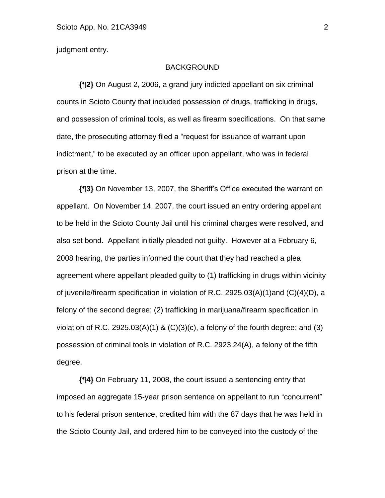judgment entry.

### BACKGROUND

**{¶2}** On August 2, 2006, a grand jury indicted appellant on six criminal counts in Scioto County that included possession of drugs, trafficking in drugs, and possession of criminal tools, as well as firearm specifications. On that same date, the prosecuting attorney filed a "request for issuance of warrant upon indictment," to be executed by an officer upon appellant, who was in federal prison at the time.

**{¶3}** On November 13, 2007, the Sheriff's Office executed the warrant on appellant. On November 14, 2007, the court issued an entry ordering appellant to be held in the Scioto County Jail until his criminal charges were resolved, and also set bond. Appellant initially pleaded not guilty. However at a February 6, 2008 hearing, the parties informed the court that they had reached a plea agreement where appellant pleaded guilty to (1) trafficking in drugs within vicinity of juvenile/firearm specification in violation of R.C. 2925.03(A)(1)and (C)(4)(D), a felony of the second degree; (2) trafficking in marijuana/firearm specification in violation of R.C. 2925.03(A)(1) &  $(C)(3)(c)$ , a felony of the fourth degree; and (3) possession of criminal tools in violation of R.C. 2923.24(A), a felony of the fifth degree.

**{¶4}** On February 11, 2008, the court issued a sentencing entry that imposed an aggregate 15-year prison sentence on appellant to run "concurrent" to his federal prison sentence, credited him with the 87 days that he was held in the Scioto County Jail, and ordered him to be conveyed into the custody of the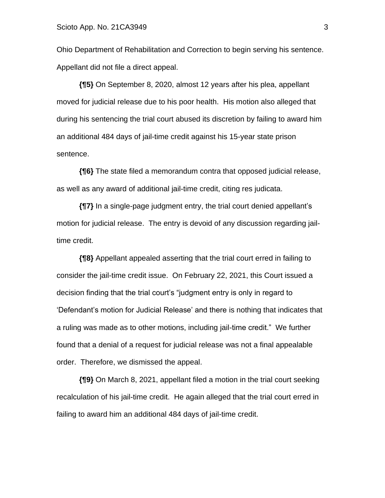Ohio Department of Rehabilitation and Correction to begin serving his sentence. Appellant did not file a direct appeal.

**{¶5}** On September 8, 2020, almost 12 years after his plea, appellant moved for judicial release due to his poor health. His motion also alleged that during his sentencing the trial court abused its discretion by failing to award him an additional 484 days of jail-time credit against his 15-year state prison sentence.

**{¶6}** The state filed a memorandum contra that opposed judicial release, as well as any award of additional jail-time credit, citing res judicata.

**{¶7}** In a single-page judgment entry, the trial court denied appellant's motion for judicial release. The entry is devoid of any discussion regarding jailtime credit.

**{¶8}** Appellant appealed asserting that the trial court erred in failing to consider the jail-time credit issue. On February 22, 2021, this Court issued a decision finding that the trial court's "judgment entry is only in regard to 'Defendant's motion for Judicial Release' and there is nothing that indicates that a ruling was made as to other motions, including jail-time credit." We further found that a denial of a request for judicial release was not a final appealable order. Therefore, we dismissed the appeal.

**{¶9}** On March 8, 2021, appellant filed a motion in the trial court seeking recalculation of his jail-time credit. He again alleged that the trial court erred in failing to award him an additional 484 days of jail-time credit.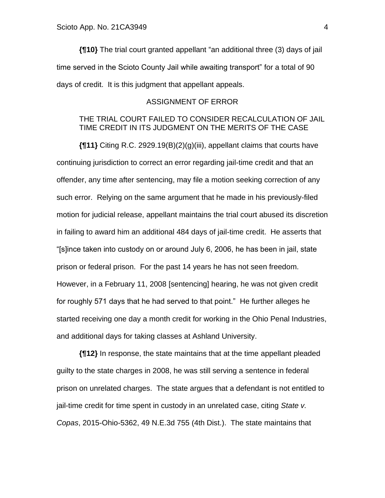**{¶10}** The trial court granted appellant "an additional three (3) days of jail time served in the Scioto County Jail while awaiting transport" for a total of 90 days of credit. It is this judgment that appellant appeals.

# ASSIGNMENT OF ERROR

# THE TRIAL COURT FAILED TO CONSIDER RECALCULATION OF JAIL TIME CREDIT IN ITS JUDGMENT ON THE MERITS OF THE CASE

**{¶11}** Citing R.C. 2929.19(B)(2)(g)(iii), appellant claims that courts have continuing jurisdiction to correct an error regarding jail-time credit and that an offender, any time after sentencing, may file a motion seeking correction of any such error. Relying on the same argument that he made in his previously-filed motion for judicial release, appellant maintains the trial court abused its discretion in failing to award him an additional 484 days of jail-time credit. He asserts that "[s]ince taken into custody on or around July 6, 2006, he has been in jail, state prison or federal prison. For the past 14 years he has not seen freedom. However, in a February 11, 2008 [sentencing] hearing, he was not given credit for roughly 571 days that he had served to that point." He further alleges he started receiving one day a month credit for working in the Ohio Penal Industries, and additional days for taking classes at Ashland University.

**{¶12}** In response, the state maintains that at the time appellant pleaded guilty to the state charges in 2008, he was still serving a sentence in federal prison on unrelated charges. The state argues that a defendant is not entitled to jail-time credit for time spent in custody in an unrelated case, citing *State v. Copas*, 2015-Ohio-5362, 49 N.E.3d 755 (4th Dist.). The state maintains that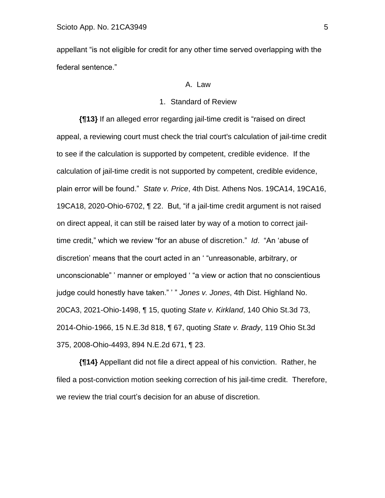appellant "is not eligible for credit for any other time served overlapping with the federal sentence."

#### A. Law

#### 1. Standard of Review

**{¶13}** If an alleged error regarding jail-time credit is "raised on direct appeal, a reviewing court must check the trial court's calculation of jail-time credit to see if the calculation is supported by competent, credible evidence. If the calculation of jail-time credit is not supported by competent, credible evidence, plain error will be found." *State v. Price*, 4th Dist. Athens Nos. 19CA14, 19CA16, 19CA18, 2020-Ohio-6702, ¶ 22. But, "if a jail-time credit argument is not raised on direct appeal, it can still be raised later by way of a motion to correct jailtime credit," which we review "for an abuse of discretion." *Id*. "An 'abuse of discretion' means that the court acted in an ' "unreasonable, arbitrary, or unconscionable" ' manner or employed ' "a view or action that no conscientious judge could honestly have taken." ' " *Jones v. Jones*, 4th Dist. Highland No. 20CA3, 2021-Ohio-1498, ¶ 15, quoting *State v. Kirkland*, 140 Ohio St.3d 73, 2014-Ohio-1966, 15 N.E.3d 818, ¶ 67, quoting *State v. Brady*, 119 Ohio St.3d 375, 2008-Ohio-4493, 894 N.E.2d 671, ¶ 23.

**{¶14}** Appellant did not file a direct appeal of his conviction. Rather, he filed a post-conviction motion seeking correction of his jail-time credit. Therefore, we review the trial court's decision for an abuse of discretion.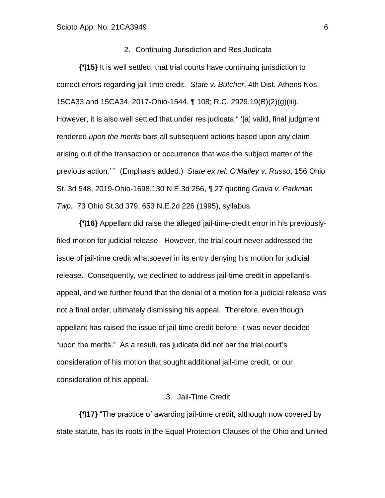#### 2. Continuing Jurisdiction and Res Judicata

**{¶15}** It is well settled, that trial courts have continuing jurisdiction to correct errors regarding jail-time credit. *State v. Butcher*, 4th Dist. Athens Nos. 15CA33 and 15CA34, 2017-Ohio-1544, ¶ 108; R.C. 2929.19(B)(2)(g)(iii). However, it is also well settled that under res judicata " '[a] valid, final judgment rendered *upon the merits* bars all subsequent actions based upon any claim arising out of the transaction or occurrence that was the subject matter of the previous action.' " (Emphasis added.) *State ex rel. O'Malley v. Russo*, 156 Ohio St. 3d 548, 2019-Ohio-1698,130 N.E.3d 256, ¶ 27 quoting *Grava v. Parkman Twp.*, 73 Ohio St.3d 379, 653 N.E.2d 226 (1995), syllabus.

**{¶16}** Appellant did raise the alleged jail-time-credit error in his previouslyfiled motion for judicial release. However, the trial court never addressed the issue of jail-time credit whatsoever in its entry denying his motion for judicial release. Consequently, we declined to address jail-time credit in appellant's appeal, and we further found that the denial of a motion for a judicial release was not a final order, ultimately dismissing his appeal. Therefore, even though appellant has raised the issue of jail-time credit before, it was never decided "upon the merits." As a result, res judicata did not bar the trial court's consideration of his motion that sought additional jail-time credit, or our consideration of his appeal.

#### 3. Jail-Time Credit

**{¶17}** "The practice of awarding jail-time credit, although now covered by state statute, has its roots in the Equal Protection Clauses of the Ohio and United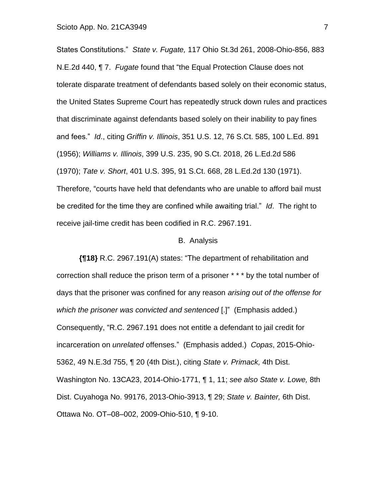States Constitutions." *State v. Fugate,* 117 Ohio St.3d 261, 2008-Ohio-856, 883 N.E.2d 440, ¶ 7. *Fugate* found that "the Equal Protection Clause does not tolerate disparate treatment of defendants based solely on their economic status, the United States Supreme Court has repeatedly struck down rules and practices that discriminate against defendants based solely on their inability to pay fines and fees." *Id*., citing *Griffin v. Illinois*, 351 U.S. 12, 76 S.Ct. 585, 100 L.Ed. 891 (1956); *Williams v. Illinois*, 399 U.S. 235, 90 S.Ct. 2018, 26 L.Ed.2d 586 (1970); *Tate v. Short*, 401 U.S. 395, 91 S.Ct. 668, 28 L.Ed.2d 130 (1971). Therefore, "courts have held that defendants who are unable to afford bail must be credited for the time they are confined while awaiting trial." *Id*. The right to receive jail-time credit has been codified in R.C. 2967.191.

#### B. Analysis

**{¶18}** R.C. 2967.191(A) states: "The department of rehabilitation and correction shall reduce the prison term of a prisoner \* \* \* by the total number of days that the prisoner was confined for any reason *arising out of the offense for which the prisoner was convicted and sentenced* [.]" (Emphasis added.) Consequently, "R.C. 2967.191 does not entitle a defendant to jail credit for incarceration on *unrelated* offenses." (Emphasis added.) *Copas*, 2015-Ohio-5362, 49 N.E.3d 755, ¶ 20 (4th Dist.), citing *State v. Primack,* 4th Dist. Washington No. 13CA23, 2014-Ohio-1771, ¶ 1, 11; *see also State v. Lowe,* 8th Dist. Cuyahoga No. 99176, 2013-Ohio-3913, ¶ 29; *State v. Bainter,* 6th Dist. Ottawa No. OT–08–002, 2009-Ohio-510, ¶ 9-10.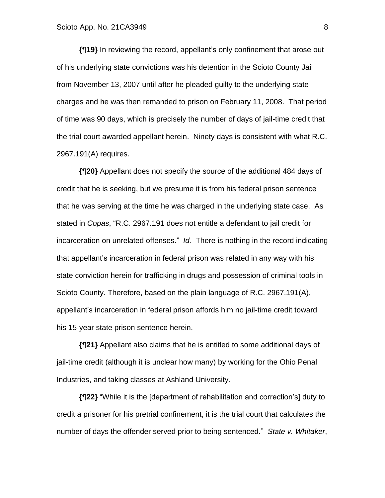**{¶19}** In reviewing the record, appellant's only confinement that arose out of his underlying state convictions was his detention in the Scioto County Jail from November 13, 2007 until after he pleaded guilty to the underlying state charges and he was then remanded to prison on February 11, 2008. That period of time was 90 days, which is precisely the number of days of jail-time credit that the trial court awarded appellant herein. Ninety days is consistent with what R.C. 2967.191(A) requires.

**{¶20}** Appellant does not specify the source of the additional 484 days of credit that he is seeking, but we presume it is from his federal prison sentence that he was serving at the time he was charged in the underlying state case. As stated in *Copas*, "R.C. 2967.191 does not entitle a defendant to jail credit for incarceration on unrelated offenses." *Id.* There is nothing in the record indicating that appellant's incarceration in federal prison was related in any way with his state conviction herein for trafficking in drugs and possession of criminal tools in Scioto County. Therefore, based on the plain language of R.C. 2967.191(A), appellant's incarceration in federal prison affords him no jail-time credit toward his 15-year state prison sentence herein.

**{¶21}** Appellant also claims that he is entitled to some additional days of jail-time credit (although it is unclear how many) by working for the Ohio Penal Industries, and taking classes at Ashland University.

**{¶22}** "While it is the [department of rehabilitation and correction's] duty to credit a prisoner for his pretrial confinement, it is the trial court that calculates the number of days the offender served prior to being sentenced*.*" *State v. Whitaker*,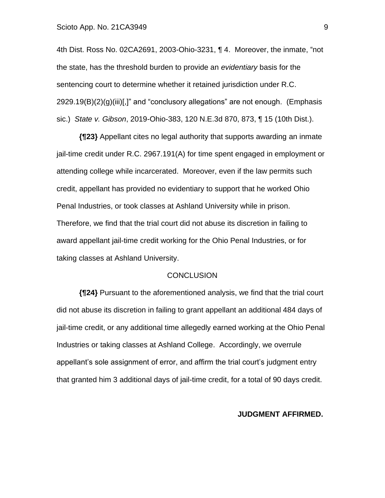4th Dist. Ross No. 02CA2691, 2003-Ohio-3231, ¶ 4. Moreover, the inmate, "not the state, has the threshold burden to provide an *evidentiary* basis for the sentencing court to determine whether it retained jurisdiction under R.C.  $2929.19(B)(2)(g)(iii)[.]$  and "conclusory allegations" are not enough. (Emphasis sic.) *State v. Gibson*, 2019-Ohio-383, 120 N.E.3d 870, 873, ¶ 15 (10th Dist.).

**{¶23}** Appellant cites no legal authority that supports awarding an inmate jail-time credit under R.C. 2967.191(A) for time spent engaged in employment or attending college while incarcerated. Moreover, even if the law permits such credit, appellant has provided no evidentiary to support that he worked Ohio Penal Industries, or took classes at Ashland University while in prison. Therefore, we find that the trial court did not abuse its discretion in failing to award appellant jail-time credit working for the Ohio Penal Industries, or for taking classes at Ashland University.

#### **CONCLUSION**

**{¶24}** Pursuant to the aforementioned analysis, we find that the trial court did not abuse its discretion in failing to grant appellant an additional 484 days of jail-time credit, or any additional time allegedly earned working at the Ohio Penal Industries or taking classes at Ashland College. Accordingly, we overrule appellant's sole assignment of error, and affirm the trial court's judgment entry that granted him 3 additional days of jail-time credit, for a total of 90 days credit.

#### **JUDGMENT AFFIRMED.**